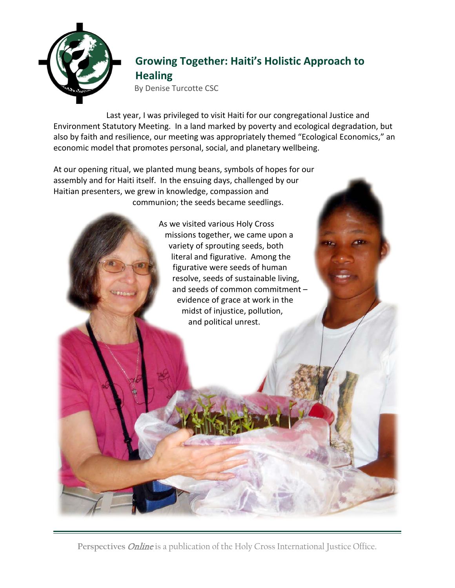

## **Growing Together: Haiti's Holistic Approach to Healing**

By Denise Turcotte CSC

Last year, I was privileged to visit Haiti for our congregational Justice and Environment Statutory Meeting. In a land marked by poverty and ecological degradation, but also by faith and resilience, our meeting was appropriately themed "Ecological Economics," an economic model that promotes personal, social, and planetary wellbeing.

At our opening ritual, we planted mung beans, symbols of hopes for our assembly and for Haiti itself. In the ensuing days, challenged by our Haitian presenters, we grew in knowledge, compassion and communion; the seeds became seedlings.

> As we visited various Holy Cross missions together, we came upon a variety of sprouting seeds, both literal and figurative. Among the figurative were seeds of human resolve, seeds of sustainable living, and seeds of common commitment – evidence of grace at work in the midst of injustice, pollution, and political unrest.

Perspectives *Online* is a publication of the Holy Cross International Justice Office.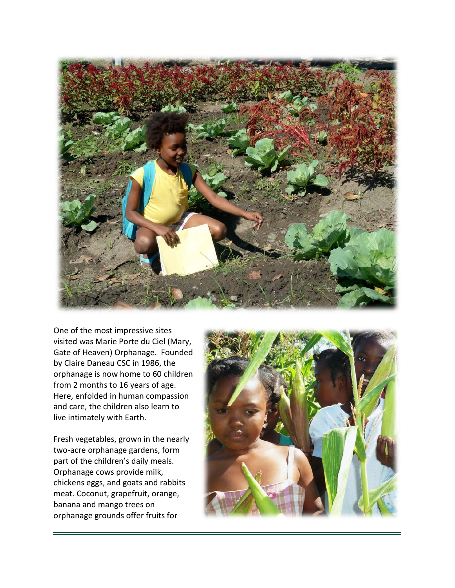

One of the most impressive sites visited was Marie Porte du Ciel (Mary, Gate of Heaven) Orphanage. Founded by Claire Daneau CSC in 1986, the orphanage is now home to 60 children from 2 months to 16 years of age. Here, enfolded in human compassion and care, the children also learn to live intimately with Earth.

Fresh vegetables, grown in the nearly two-acre orphanage gardens, form part of the children's daily meals. Orphanage cows provide milk, chickens eggs, and goats and rabbits meat. Coconut, grapefruit, orange, banana and mango trees on orphanage grounds offer fruits for

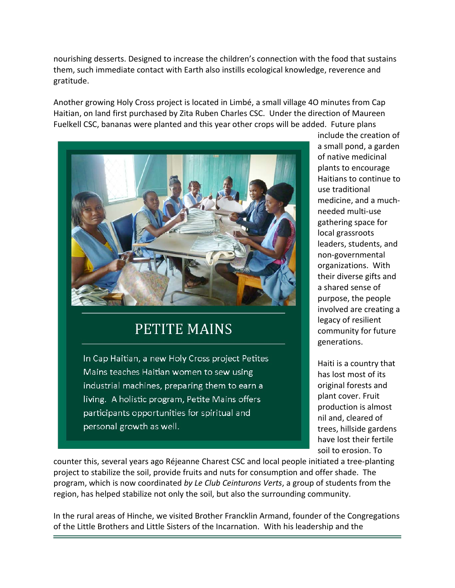nourishing desserts. Designed to increase the children's connection with the food that sustains them, such immediate contact with Earth also instills ecological knowledge, reverence and gratitude.

Another growing Holy Cross project is located in Limbé, a small village 4O minutes from Cap Haitian, on land first purchased by Zita Ruben Charles CSC. Under the direction of Maureen Fuelkell CSC, bananas were planted and this year other crops will be added. Future plans



## **PETITE MAINS**

In Cap Haitian, a new Holy Cross project Petites Mains teaches Haitian women to sew using industrial machines, preparing them to earn a living. A holistic program, Petite Mains offers participants opportunities for spiritual and personal growth as well.

include the creation of a small pond, a garden of native medicinal plants to encourage Haitians to continue to use traditional medicine, and a muchneeded multi-use gathering space for local grassroots leaders, students, and non-governmental organizations. With their diverse gifts and a shared sense of purpose, the people involved are creating a legacy of resilient community for future generations.

Haiti is a country that has lost most of its original forests and plant cover. Fruit production is almost nil and, cleared of trees, hillside gardens have lost their fertile soil to erosion. To

counter this, several years ago Réjeanne Charest CSC and local people initiated a tree-planting project to stabilize the soil, provide fruits and nuts for consumption and offer shade. The program, which is now coordinated *by Le Club Ceinturons Verts*, a group of students from the region, has helped stabilize not only the soil, but also the surrounding community.

In the rural areas of Hinche, we visited Brother Francklin Armand, founder of the Congregations of the Little Brothers and Little Sisters of the Incarnation. With his leadership and the